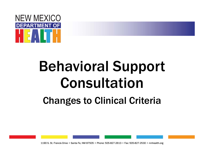

### Changes to Clinical Criteria

1190 S. St. Francis Drive • Santa Fe, NM 87505 • Phone: 505-827-2613 • Fax: 505-827-2530 • nmhealth.org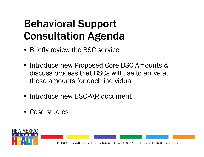## Behavioral Support Consultation Agenda

- Briefly review the BSC service
- Introduce new Proposed Core BSC Amounts & discuss process that BSCs will use to arrive at these amounts for each individual
- Introduce new BSCPAR document
- Case studies

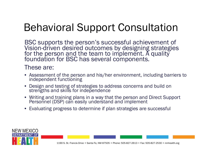BSC supports the person's successful achievement of Vision-driven desired outcomes by designing strategies for the person and the team to implement. A quality foundation for BSC has several components.

#### These are:

- Assessment of the person and his/her environment, including barriers to independent functioning
- Design and testing of strategies to address concerns and build on strengths and skills for independence
- Writing and training plans in a way that the person and Direct Support Personnel (DSP) can easily understand and implement
- Evaluating progress to determine if plan strategies are successful

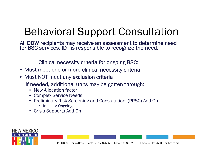All DDW recipients may receive an assessment to determine need for BSC services. IDT is responsible to recognize the need.

Clinical necessity criteria for ongoing BSC:

- Must meet one or more clinical necessity criteria
- Must NOT meet any exclusion criteria

If needed, additional units may be gotten through:

- New Allocation factor
- Complex Service Needs
- Preliminary Risk Screening and Consultation (PRSC) Add-On
	- Initial or Ongoing
- Crisis Supports Add-On

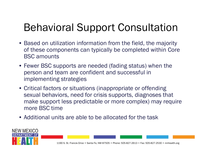- Based on utilization information from the field, the majority of these components can typically be completed within Core BSC amounts
- Fewer BSC supports are needed (fading status) when the person and team are confident and successful in implementing strategies
- Critical factors or situations (inappropriate or offending sexual behaviors, need for crisis supports, diagnoses that make support less predictable or more complex) may require more BSC time
- Additional units are able to be allocated for the task

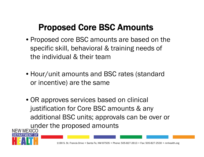### Proposed Core BSC Amounts

- Proposed core BSC amounts are based on the specific skill, behavioral & training needs of the individual & their team
- Hour/unit amounts and BSC rates (standard or incentive) are the same
- OR approves services based on clinical justification for Core BSC amounts & any additional BSC units; approvals can be over or under the proposed amounts<br>NEW MEXICO

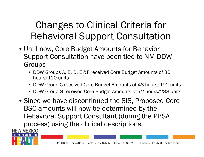- Until now, Core Budget Amounts for Behavior Support Consultation have been tied to NM DDW Groups
	- DDW Groups A, B, D, E &F received Core Budget Amounts of 30 hours/120 units
	- DDW Group C received Core Budget Amounts of 48 hours/192 units
	- DDW Group G received Core Budget Amounts of 72 hours/288 units
- Since we have discontinued the SIS, Proposed Core BSC amounts will now be determined by the Behavioral Support Consultant (during the PBSA process) using the clinical descriptions.

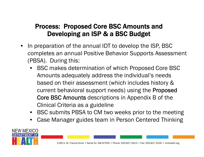#### Process: Proposed Core BSC Amounts and Developing an ISP & a BSC Budget

- • In preparation of the annual IDT to develop the ISP, BSC completes an annual Positive Behavior Supports Assessment (PBSA). During this:
	- • BSC makes determination of which Proposed Core BSC Amounts adequately address the individual's needs based on their assessment (which includes history & current behavioral support needs) using the Proposed Core BSC Amounts descriptions in Appendix B of the Clinical Criteria as a guideline
	- BSC submits PBSA to CM two weeks prior to the meeting
	- •Case Manager guides team in Person Centered Thinking

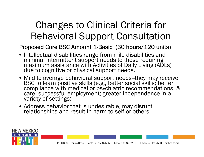#### Proposed Core BSC Amount 1-Basic (30 hours/120 units)

- Intellectual disabilities range from mild disabilities and minimal intermittent support needs to those requiring<br>maximum assistance with Activities of Daily Living (ADLs)<br>due to cognitive or physical support needs.
- Mild to average behavioral support needs-they may receive BSC to learn positive skills (e.g., better social skills; better<br>compliance with medical or psychiatric recommendations &<br>care; successful employment; greater independence in a<br>variety of settings)
- Address behavior that is undesirable, may disrupt relationships and result in harm to self or others.

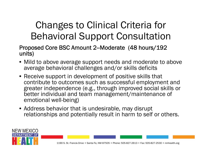#### Proposed Core BSC Amount 2--Moderate (48 hours/192 units)

- Mild to above average support needs and moderate to above average behavioral challenges and/or skills deficits
- Receive support in development of positive skills that contribute to outcomes such as successful employment and greater independence (e.g., through improved social skills or better individual and team management/maintenance of emotional well-being)
- Address behavior that is undesirable, may disrupt relationships and potentially result in harm to self or others.

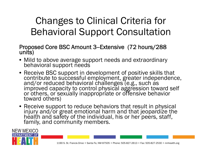Proposed Core BSC Amount 3--Extensive (72 hours/288 units)

- Mild to above average support needs and extraordinary behavioral support needs
- Receive BSC support in development of positive skills that contribute to successful employment, greater independence,<br>and/or reduced behavioral challenges (e.g., such as<br>improved capacity to control physical aggression toward self<br>or others, or sexually inappropriate or offensive
- Receive support to reduce behaviors that result in physical injury and/or great emotional harm and that jeopardize the health and safety of the individual, his or her peers, staff, family, and community members.

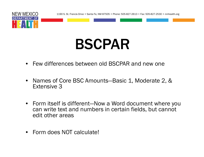

# BSCPAR

- Few differences between old BSCPAR and new one
- Names of Core BSC Amounts—Basic 1, Moderate 2, & Extensive 3
- Form itself is different—Now a Word document where you can write text and numbers in certain fields, but cannot edit other areas
- Form does NOT calculate!